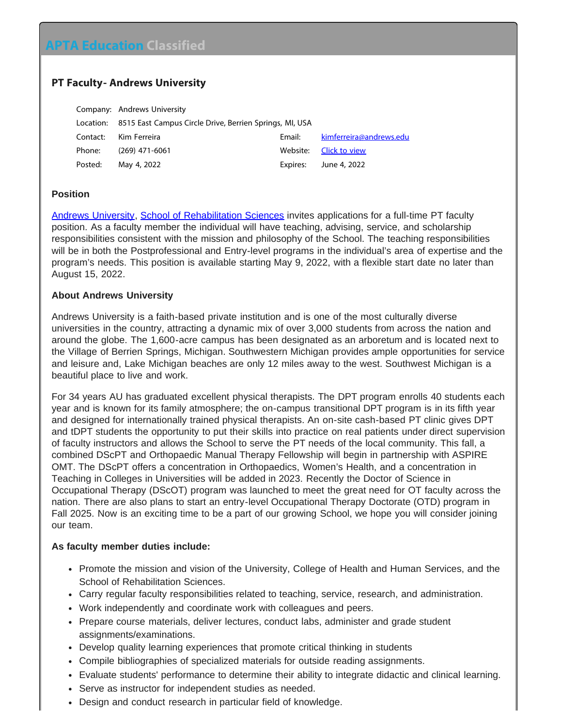# **APTA Education Classified**

## **PT Faculty- Andrews University**

|          | Company: Andrews University                                       |          |                         |
|----------|-------------------------------------------------------------------|----------|-------------------------|
|          | Location: 8515 East Campus Circle Drive, Berrien Springs, MI, USA |          |                         |
| Contact: | Kim Ferreira                                                      | Email:   | kimferreira@andrews.edu |
| Phone:   | $(269)$ 471-6061                                                  | Website: | Click to view           |
| Posted:  | May 4, 2022                                                       | Expires: | June 4, 2022            |

### **Position**

[Andrews University](https://www.andrews.edu/), [School of Rehabilitation Sciences](https://www.andrews.edu/chhs/pt/) invites applications for a full-time PT faculty position. As a faculty member the individual will have teaching, advising, service, and scholarship responsibilities consistent with the mission and philosophy of the School. The teaching responsibilities will be in both the Postprofessional and Entry-level programs in the individual's area of expertise and the program's needs. This position is available starting May 9, 2022, with a flexible start date no later than August 15, 2022.

### **About Andrews University**

Andrews University is a faith-based private institution and is one of the most culturally diverse universities in the country, attracting a dynamic mix of over 3,000 students from across the nation and around the globe. The 1,600-acre campus has been designated as an arboretum and is located next to the Village of Berrien Springs, Michigan. Southwestern Michigan provides ample opportunities for service and leisure and, Lake Michigan beaches are only 12 miles away to the west. Southwest Michigan is a beautiful place to live and work.

For 34 years AU has graduated excellent physical therapists. The DPT program enrolls 40 students each year and is known for its family atmosphere; the on-campus transitional DPT program is in its fifth year and designed for internationally trained physical therapists. An on-site cash-based PT clinic gives DPT and tDPT students the opportunity to put their skills into practice on real patients under direct supervision of faculty instructors and allows the School to serve the PT needs of the local community. This fall, a combined DScPT and Orthopaedic Manual Therapy Fellowship will begin in partnership with ASPIRE OMT. The DScPT offers a concentration in Orthopaedics, Women's Health, and a concentration in Teaching in Colleges in Universities will be added in 2023. Recently the Doctor of Science in Occupational Therapy (DScOT) program was launched to meet the great need for OT faculty across the nation. There are also plans to start an entry-level Occupational Therapy Doctorate (OTD) program in Fall 2025. Now is an exciting time to be a part of our growing School, we hope you will consider joining our team.

#### **As faculty member duties include:**

- Promote the mission and vision of the University, College of Health and Human Services, and the School of Rehabilitation Sciences.
- Carry regular faculty responsibilities related to teaching, service, research, and administration.
- Work independently and coordinate work with colleagues and peers.
- Prepare course materials, deliver lectures, conduct labs, administer and grade student assignments/examinations.
- Develop quality learning experiences that promote critical thinking in students
- Compile bibliographies of specialized materials for outside reading assignments.
- Evaluate students' performance to determine their ability to integrate didactic and clinical learning.
- Serve as instructor for independent studies as needed.
- Design and conduct research in particular field of knowledge.